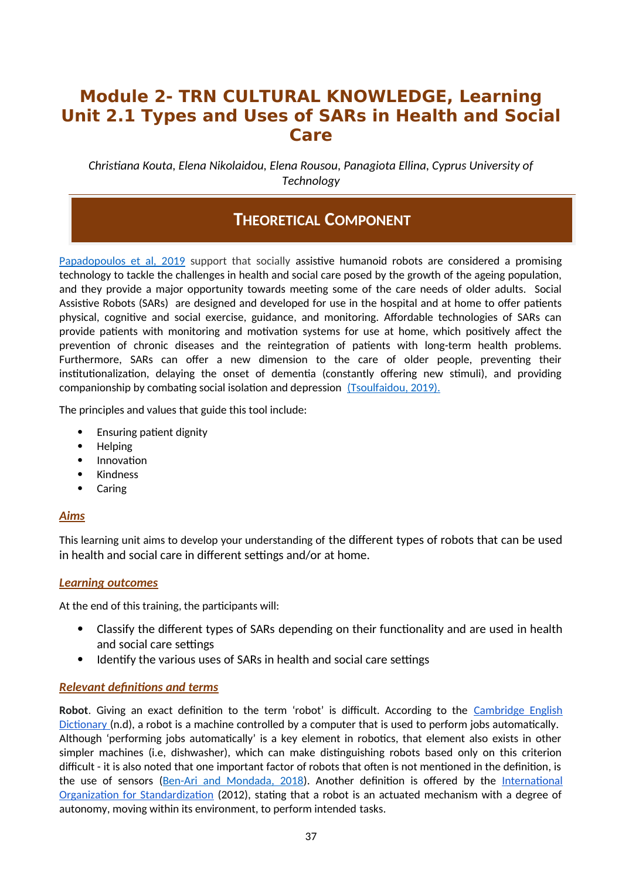# **Module 2- TRN CULTURAL KNOWLEDGE, Learning Unit 2.1 Types and Uses of SARs in Health and Social Care**

*Christiana Kouta, Elena Nikolaidou, Elena Rousou, Panagiota Ellina, Cyprus University of Technology*

# **THEORETICAL COMPONENT**

Papadopoulos et al, 2019 support that socially assistive humanoid robots are considered a promising technology to tackle the challenges in health and social care posed by the growth of the ageing population, and they provide a major opportunity towards meeting some of the care needs of older adults. Social Assistive Robots (SARs) are designed and developed for use in the hospital and at home to offer patients physical, cognitive and social exercise, guidance, and monitoring. Affordable technologies of SARs can provide patients with monitoring and motivation systems for use at home, which positively affect the prevention of chronic diseases and the reintegration of patients with long-term health problems. Furthermore, SARs can offer a new dimension to the care of older people, preventing their institutionalization, delaying the onset of dementia (constantly offering new stimuli), and providing companionship by combating social isolation and depression (Tsoulfaidou, 2019).

The principles and values that guide this tool include:

- Ensuring patient dignity
- Helping
- Innovation
- Kindness
- Caring

## *Aims*

This learning unit aims to develop your understanding of the different types of robots that can be used in health and social care in different settings and/or at home.

## *Learning outcomes*

At the end of this training, the participants will:

- Classify the different types of SARs depending on their functionality and are used in health and social care settings
- Identify the various uses of SARs in health and social care settings

## *Relevant definitions and terms*

**Robot**. Giving an exact definition to the term 'robot' is difficult. According to the Cambridge English Dictionary (n.d), a robot is a machine controlled by a computer that is used to perform jobs automatically. Although 'performing jobs automatically' is a key element in robotics, that element also exists in other simpler machines (i.e, dishwasher), which can make distinguishing robots based only on this criterion difficult - it is also noted that one important factor of robots that often is not mentioned in the definition, is the use of sensors ([Ben-Ari and Mondada, 2018\)](https://www.researchgate.net/publication/320674637_Robots_and_Their_Applications). Another definition is offered by the International Organization for Standardization (2012), stating that a robot is an actuated mechanism with a degree of autonomy, moving within its environment, to perform intended tasks.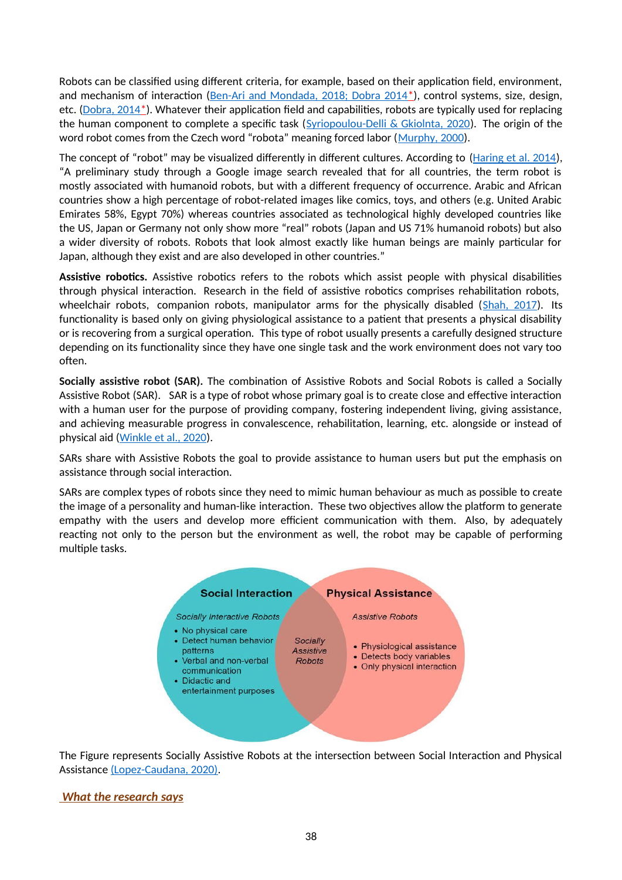Robots can be classified using different criteria, for example, based on their application field, environment, and mechanism of interaction ( $Ben-Ari$  and Mondada, 2018; Dobra 2014\*), control systems, size, design, etc. (Dobra, 2014\*). Whatever their application field and capabilities, robots are typically used for replacing the human component to complete a specific task ([Syriopoulou-Delli & Gkiolnta, 2020](https://www.researchgate.net/publication/337886810_Review_of_Assistive_Technology_in_the_training_of_Children_with_Autism_Spectrum_Disorders)). The origin of the word robot comes from the Czech word "robota" meaning forced labor ([Murphy, 2000](https://mitpress.mit.edu/books/introduction-ai-robotics-second-edition)).

The concept of "robot" may be visualized differently in different cultures. According to ([Haring et al. 2014\)](https://www.researchgate.net/publication/266416317_Cultural_Differences_in_Perception_and_Attitude_towards_Robots), "A preliminary study through a Google image search revealed that for all countries, the term robot is mostly associated with humanoid robots, but with a different frequency of occurrence. Arabic and African countries show a high percentage of robot-related images like comics, toys, and others (e.g. United Arabic Emirates 58%, Egypt 70%) whereas countries associated as technological highly developed countries like the US, Japan or Germany not only show more "real" robots (Japan and US 71% humanoid robots) but also a wider diversity of robots. Robots that look almost exactly like human beings are mainly particular for Japan, although they exist and are also developed in other countries."

**Assistive robotics.** Assistive robotics refers to the robots which assist people with physical disabilities through physical interaction. Research in the field of assistive robotics comprises rehabilitation robots, wheelchair robots, companion robots, manipulator arms for the physically disabled (Shah, 2017). Its functionality is based only on giving physiological assistance to a patient that presents a physical disability or is recovering from a surgical operation. This type of robot usually presents a carefully designed structure depending on its functionality since they have one single task and the work environment does not vary too often.

**Socially assistive robot (SAR).** The combination of Assistive Robots and Social Robots is called a Socially Assistive Robot (SAR). SAR is a type of robot whose primary goal is to create close and effective interaction with a human user for the purpose of providing company, fostering independent living, giving assistance, and achieving measurable progress in convalescence, rehabilitation, learning, etc. alongside or instead of physical aid [\(Winkle et al., 2020\)](https://www.researchgate.net/publication/331576322_Mutual_Shaping_in_the_Design_of_Socially_Assistive_Robots_A_Case_Study_on_Social_Robots_for_Therapy).

SARs share with Assistive Robots the goal to provide assistance to human users but put the emphasis on assistance through social interaction.

SARs are complex types of robots since they need to mimic human behaviour as much as possible to create the image of a personality and human-like interaction. These two objectives allow the platform to generate empathy with the users and develop more efficient communication with them. Also, by adequately reacting not only to the person but the environment as well, the robot may be capable of performing multiple tasks.



The Figure represents Socially Assistive Robots at the intersection between Social Interaction and Physical Assistance (Lopez-Caudana, 2020).

## *What the research says*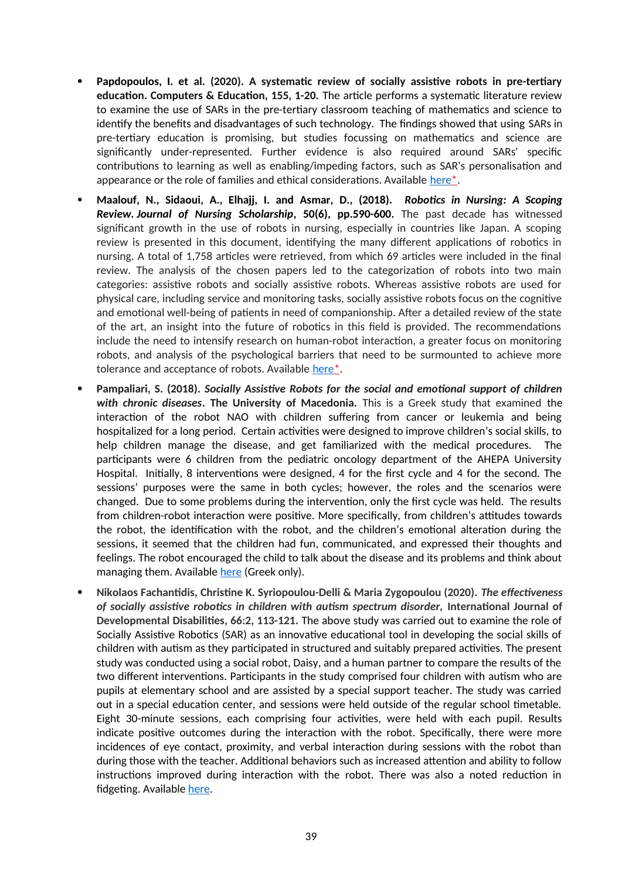- **Papdopoulos, I. et al. (2020). A systematic review of socially assistive robots in pre-tertiary education. Computers & Education, 155, 1-20.** The article performs a systematic literature review to examine the use of SARs in the pre-tertiary classroom teaching of mathematics and science to identify the benefits and disadvantages of such technology. The findings showed that using SARs in pre-tertiary education is promising, but studies focussing on mathematics and science are significantly under-represented. Further evidence is also required around SARs' specific contributions to learning as well as enabling/impeding factors, such as SAR's personalisation and appearance or the role of families and ethical considerations. Available [here](https://www.researchgate.net/publication/341502722_A_systematic_review_of_socially_assistive_robots_in_pre-tertiary_education)\*.
- **Maalouf, N., Sidaoui, A., Elhajj, I. and Asmar, D., (2018).** *Robotics in Nursing: A Scoping Review. Journal of Nursing Scholarship***, 50(6), pp.590-600.** The past decade has witnessed significant growth in the use of robots in nursing, especially in countries like Japan. A scoping review is presented in this document, identifying the many different applications of robotics in nursing. A total of 1,758 articles were retrieved, from which 69 articles were included in the final review. The analysis of the chosen papers led to the categorization of robots into two main categories: assistive robots and socially assistive robots. Whereas assistive robots are used for physical care, including service and monitoring tasks, socially assistive robots focus on the cognitive and emotional well-being of patients in need of companionship. After a detailed review of the state of the art, an insight into the future of robotics in this field is provided. The recommendations include the need to intensify research on human-robot interaction, a greater focus on monitoring robots, and analysis of the psychological barriers that need to be surmounted to achieve more tolerance and acceptance of robots. Available here<sup>\*</sup>.
- **Pampaliari, S. (2018).** *Socially Assistive Robots for the social and emotional support of children with chronic diseases***. The University of Macedonia.** Τhis is a Greek study that examined the interaction of the robot NAO with children suffering from cancer or leukemia and being hospitalized for a long period. Certain activities were designed to improve children's social skills, to help children manage the disease, and get familiarized with the medical procedures. The participants were 6 children from the pediatric oncology department of the AHEPA University Hospital. Initially, 8 interventions were designed, 4 for the first cycle and 4 for the second. The sessions' purposes were the same in both cycles; however, the roles and the scenarios were changed. Due to some problems during the intervention, only the first cycle was held. The results from children-robot interaction were positive. More specifically, from children's attitudes towards the robot, the identification with the robot, and the children's emotional alteration during the sessions, it seemed that the children had fun, communicated, and expressed their thoughts and feelings. The robot encouraged the child to talk about the disease and its problems and think about managing them. Available [here](https://dspace.lib.uom.gr/bitstream/2159/22067/3/PampaliariStellaMsc2018.pdf) (Greek only).
- **Nikolaos Fachantidis, Christine K. Syriopoulou-Delli & Maria Zygopoulou (2020).** *Τhe effectiveness of socially assistive robotics in children with autism spectrum disorder,* **International Journal of Developmental Disabilities, 66:2, 113-121.** The above study was carried out to examine the role of Socially Assistive Robotics (SAR) as an innovative educational tool in developing the social skills of children with autism as they participated in structured and suitably prepared activities. The present study was conducted using a social robot, Daisy, and a human partner to compare the results of the two different interventions. Participants in the study comprised four children with autism who are pupils at elementary school and are assisted by a special support teacher. The study was carried out in a special education center, and sessions were held outside of the regular school timetable. Eight 30-minute sessions, each comprising four activities, were held with each pupil. Results indicate positive outcomes during the interaction with the robot. Specifically, there were more incidences of eye contact, proximity, and verbal interaction during sessions with the robot than during those with the teacher. Additional behaviors such as increased attention and ability to follow instructions improved during interaction with the robot. There was also a noted reduction in fidgeting. Available [here.](https://www.researchgate.net/publication/328510347_The_effectiveness_of_socially_assistive_robotics_in_children_with_ASD)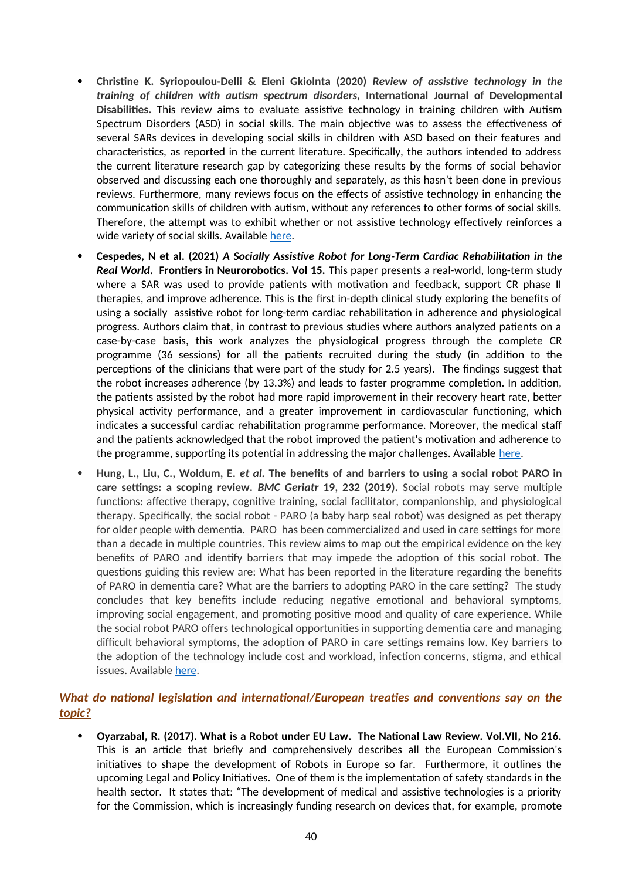- **Christine K. Syriopoulou-Delli & Eleni Gkiolnta (2020)** *Review of assistive technology in the training of children with autism spectrum disorders,* **International Journal of Developmental Disabilities.** This review aims to evaluate assistive technology in training children with Autism Spectrum Disorders (ASD) in social skills. The main objective was to assess the effectiveness of several SARs devices in developing social skills in children with ASD based on their features and characteristics, as reported in the current literature. Specifically, the authors intended to address the current literature research gap by categorizing these results by the forms of social behavior observed and discussing each one thoroughly and separately, as this hasn't been done in previous reviews. Furthermore, many reviews focus on the effects of assistive technology in enhancing the communication skills of children with autism, without any references to other forms of social skills. Therefore, the attempt was to exhibit whether or not assistive technology effectively reinforces a wide variety of social skills. Available [here](https://www.researchgate.net/publication/337886810_Review_of_Assistive_Technology_in_the_training_of_Children_with_Autism_Spectrum_Disorders).
- **Cespedes, N et al. (2021)** *A Socially Assistive Robot for Long-Term Cardiac Rehabilitation in the Real World***. Frontiers in Neurorobotics. Vol 15.** This paper presents a real-world, long-term study where a SAR was used to provide patients with motivation and feedback, support CR phase II therapies, and improve adherence. This is the first in-depth clinical study exploring the benefits of using a socially assistive robot for long-term cardiac rehabilitation in adherence and physiological progress. Authors claim that, in contrast to previous studies where authors analyzed patients on a case-by-case basis, this work analyzes the physiological progress through the complete CR programme (36 sessions) for all the patients recruited during the study (in addition to the perceptions of the clinicians that were part of the study for 2.5 years). The findings suggest that the robot increases adherence (by 13.3%) and leads to faster programme completion. In addition, the patients assisted by the robot had more rapid improvement in their recovery heart rate, better physical activity performance, and a greater improvement in cardiovascular functioning, which indicates a successful cardiac rehabilitation programme performance. Moreover, the medical staff and the patients acknowledged that the robot improved the patient's motivation and adherence to the programme, supporting its potential in addressing the major challenges. Available [here](https://www.frontiersin.org/articles/10.3389/fnbot.2021.633248/full).
- **Hung, L., Liu, C., Woldum, E.** *et al.* **The benefits of and barriers to using a social robot PARO in care settings: a scoping review.** *BMC Geriatr* **19, 232 (2019).** Social robots may serve multiple functions: affective therapy, cognitive training, social facilitator, companionship, and physiological therapy. Specifically, the social robot - PARO (a baby harp seal robot) was designed as pet therapy for older people with dementia. PARO has been commercialized and used in care settings for more than a decade in multiple countries. This review aims to map out the empirical evidence on the key benefits of PARO and identify barriers that may impede the adoption of this social robot. The questions guiding this review are: What has been reported in the literature regarding the benefits of PARO in dementia care? What are the barriers to adopting PARO in the care setting? The study concludes that key benefits include reducing negative emotional and behavioral symptoms, improving social engagement, and promoting positive mood and quality of care experience. While the social robot PARO offers technological opportunities in supporting dementia care and managing difficult behavioral symptoms, the adoption of PARO in care settings remains low. Key barriers to the adoption of the technology include cost and workload, infection concerns, stigma, and ethical issues. Available [here](https://bmcgeriatr.biomedcentral.com/articles/10.1186/s12877-019-1244-6).

## *What do national legislation and international/European treaties and conventions say on the topic?*

 **Oyarzabal, R. (2017). What is a Robot under EU Law. The National Law Review. Vol.VII, No 216.** This is an article that briefly and comprehensively describes all the European Commission's initiatives to shape the development of Robots in Europe so far. Furthermore, it outlines the upcoming Legal and Policy Initiatives. One of them is the implementation of safety standards in the health sector. It states that: "The development of medical and assistive technologies is a priority for the Commission, which is increasingly funding research on devices that, for example, promote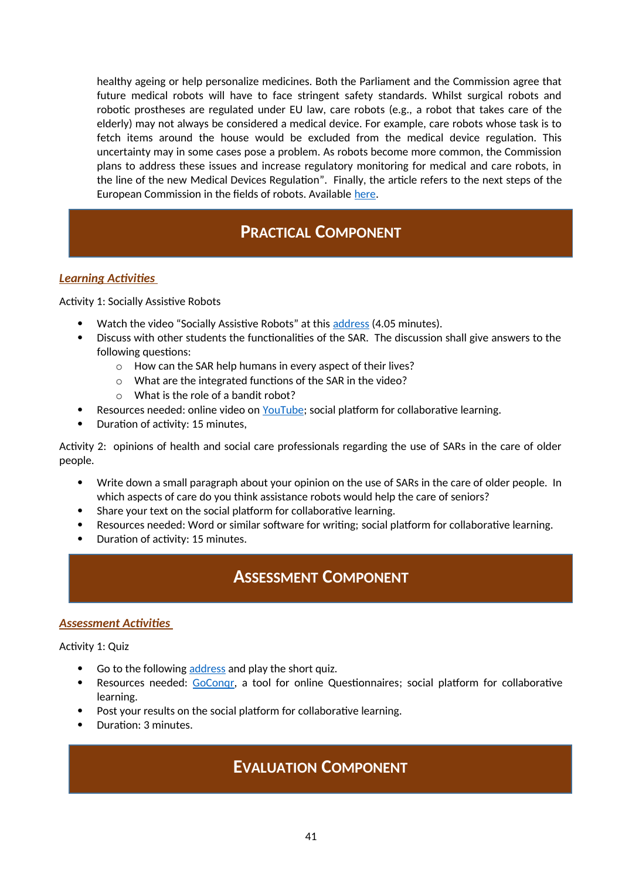healthy ageing or help personalize medicines. Both the Parliament and the Commission agree that future medical robots will have to face stringent safety standards. Whilst surgical robots and robotic prostheses are regulated under EU law, care robots (e.g., a robot that takes care of the elderly) may not always be considered a medical device. For example, care robots whose task is to fetch items around the house would be excluded from the medical device regulation. This uncertainty may in some cases pose a problem. As robots become more common, the Commission plans to address these issues and increase regulatory monitoring for medical and care robots, in the line of the new Medical Devices Regulation". Finally, the article refers to the next steps of the European Commission in the fields of robots. Available [here.](https://www.natlawreview.com/article/what-robot-under-eu-law)

# **PRACTICAL COMPONENT**

# *Learning Activities*

Activity 1: Socially Assistive Robots

- Watch the video "Socially Assistive Robots" at this [address](https://www.youtube.com/watch?v=VELzj6Wyg3Y) (4.05 minutes).
- Discuss with other students the functionalities of the SAR. The discussion shall give answers to the following questions:
	- o How can the SAR help humans in every aspect of their lives?
	- o What are the integrated functions of the SAR in the video?
	- o What is the role of a bandit robot?
- Resources needed: online video on [YouTube;](https://www.youtube.com/watch?v=VELzj6Wyg3Y) social platform for collaborative learning.
- Duration of activity: 15 minutes,

Activity 2: opinions of health and social care professionals regarding the use of SARs in the care of older people.

- Write down a small paragraph about your opinion on the use of SARs in the care of older people. In which aspects of care do you think assistance robots would help the care of seniors?
- Share your text on the social platform for collaborative learning.
- Resources needed: Word or similar software for writing; social platform for collaborative learning.
- Duration of activity: 15 minutes.

# **ASSESSMENT COMPONENT**

#### *Assessment Activities*

Activity 1: Quiz

- Go to the following [address](https://www.goconqr.com/quiz/34242205/assessment-activity) and play the short quiz.
- Resources needed: [GoConqr](https://www.goconqr.com/), a tool for online Questionnaires; social platform for collaborative learning.
- Post your results on the social platform for collaborative learning.
- Duration: 3 minutes.

# **EVALUATION COMPONENT**